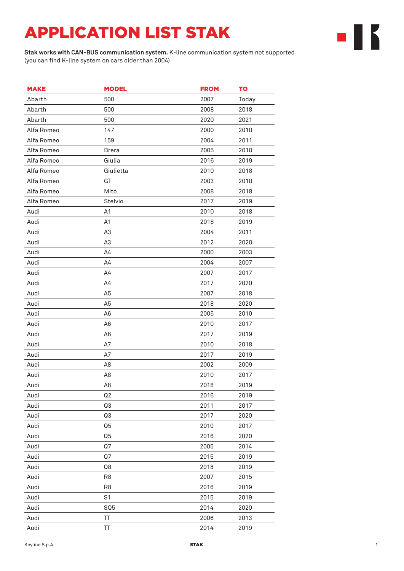## APPLICATION LIST STAK

**Stak works with CAN-BUS communication system.** K-line communication system not supported (you can find K-line system on cars older than 2004)

| <b>MAKE</b> | <b>MODEL</b>    | <b>FROM</b> | TO    |
|-------------|-----------------|-------------|-------|
| Abarth      | 500             | 2007        | Today |
| Abarth      | 500             | 2008        | 2018  |
| Abarth      | 500             | 2020        | 2021  |
| Alfa Romeo  | 147             | 2000        | 2010  |
| Alfa Romeo  | 159             | 2004        | 2011  |
| Alfa Romeo  | <b>Brera</b>    | 2005        | 2010  |
| Alfa Romeo  | Giulia          | 2016        | 2019  |
| Alfa Romeo  | Giulietta       | 2010        | 2018  |
| Alfa Romeo  | GT              | 2003        | 2010  |
| Alfa Romeo  | Mito            | 2008        | 2018  |
| Alfa Romeo  | Stelvio         | 2017        | 2019  |
| Audi        | A1              | 2010        | 2018  |
| Audi        | A1              | 2018        | 2019  |
| Audi        | A <sub>3</sub>  | 2004        | 2011  |
| Audi        | A <sub>3</sub>  | 2012        | 2020  |
| Audi        | A4              | 2000        | 2003  |
| Audi        | A <sub>4</sub>  | 2004        | 2007  |
| Audi        | Α4              | 2007        | 2017  |
| Audi        | A <sub>4</sub>  | 2017        | 2020  |
| Audi        | A <sub>5</sub>  | 2007        | 2018  |
| Audi        | A <sub>5</sub>  | 2018        | 2020  |
| Audi        | A <sub>6</sub>  | 2005        | 2010  |
| Audi        | A <sub>6</sub>  | 2010        | 2017  |
| Audi        | A <sub>6</sub>  | 2017        | 2019  |
| Audi        | A7              | 2010        | 2018  |
| Audi        | A7              | 2017        | 2019  |
| Audi        | A <sub>8</sub>  | 2002        | 2009  |
| Audi        | A8              | 2010        | 2017  |
| Audi        | A <sub>8</sub>  | 2018        | 2019  |
| Audi        | Q <sub>2</sub>  | 2016        | 2019  |
| Audi        | Q3              | 2011        | 2017  |
| Audi        | Q3              | 2017        | 2020  |
| Audi        | Q <sub>5</sub>  | 2010        | 2017  |
| Audi        | Q5              | 2016        | 2020  |
| Audi        | Q7              | 2005        | 2014  |
| Audi        | Q7              | 2015        | 2019  |
| Audi        | Q8              | 2018        | 2019  |
| Audi        | R <sub>8</sub>  | 2007        | 2015  |
| Audi        | R <sub>8</sub>  | 2016        | 2019  |
| Audi        | S <sub>1</sub>  | 2015        | 2019  |
| Audi        | SQ <sub>5</sub> | 2014        | 2020  |
| Audi        | ΤT              | 2006        | 2013  |
| Audi        | ТT              | 2014        | 2019  |

╺┃┟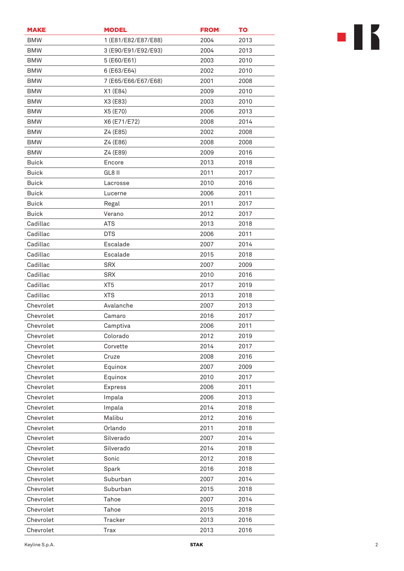| <b>MAKE</b>  | <b>MODEL</b>        | <b>FROM</b> | TO   |
|--------------|---------------------|-------------|------|
| <b>BMW</b>   | 1 (E81/E82/E87/E88) | 2004        | 2013 |
| <b>BMW</b>   | 3 (E90/E91/E92/E93) | 2004        | 2013 |
| <b>BMW</b>   | 5 (E60/E61)         | 2003        | 2010 |
| <b>BMW</b>   | 6 (E63/E64)         | 2002        | 2010 |
| <b>BMW</b>   | 7 (E65/E66/E67/E68) | 2001        | 2008 |
| <b>BMW</b>   | X1 (E84)            | 2009        | 2010 |
| <b>BMW</b>   | X3 (E83)            | 2003        | 2010 |
| <b>BMW</b>   | X5 (E70)            | 2006        | 2013 |
| <b>BMW</b>   | X6 (E71/E72)        | 2008        | 2014 |
| <b>BMW</b>   | Z4 (E85)            | 2002        | 2008 |
| <b>BMW</b>   | Z4 (E86)            | 2008        | 2008 |
| <b>BMW</b>   | Z4 (E89)            | 2009        | 2016 |
| <b>Buick</b> | Encore              | 2013        | 2018 |
| <b>Buick</b> | GL8 II              | 2011        | 2017 |
| <b>Buick</b> | Lacrosse            | 2010        | 2016 |
| <b>Buick</b> | Lucerne             | 2006        | 2011 |
| <b>Buick</b> | Regal               | 2011        | 2017 |
| <b>Buick</b> | Verano              | 2012        | 2017 |
| Cadillac     | <b>ATS</b>          | 2013        | 2018 |
| Cadillac     | <b>DTS</b>          | 2006        | 2011 |
| Cadillac     | Escalade            | 2007        | 2014 |
| Cadillac     | Escalade            | 2015        | 2018 |
| Cadillac     | <b>SRX</b>          | 2007        | 2009 |
| Cadillac     | <b>SRX</b>          | 2010        | 2016 |
| Cadillac     | XT <sub>5</sub>     | 2017        | 2019 |
| Cadillac     | <b>XTS</b>          | 2013        | 2018 |
| Chevrolet    | Avalanche           | 2007        | 2013 |
| Chevrolet    | Camaro              | 2016        | 2017 |
| Chevrolet    | Camptiva            | 2006        | 2011 |
| Chevrolet    | Colorado            | 2012        | 2019 |
| Chevrolet    | Corvette            | 2014        | 2017 |
| Chevrolet    | Cruze               | 2008        | 2016 |
| Chevrolet    | Equinox             | 2007        | 2009 |
| Chevrolet    | Equinox             | 2010        | 2017 |
| Chevrolet    | <b>Express</b>      | 2006        | 2011 |
| Chevrolet    | Impala              | 2006        | 2013 |
| Chevrolet    | Impala              | 2014        | 2018 |
| Chevrolet    | Malibu              | 2012        | 2016 |
| Chevrolet    | Orlando             | 2011        | 2018 |
| Chevrolet    | Silverado           | 2007        | 2014 |
| Chevrolet    | Silverado           | 2014        | 2018 |
| Chevrolet    | Sonic               | 2012        | 2018 |
| Chevrolet    | Spark               | 2016        | 2018 |
| Chevrolet    | Suburban            | 2007        | 2014 |
| Chevrolet    | Suburban            | 2015        | 2018 |
| Chevrolet    | Tahoe               | 2007        | 2014 |
| Chevrolet    | Tahoe               | 2015        | 2018 |
| Chevrolet    | <b>Tracker</b>      | 2013        | 2016 |
| Chevrolet    | <b>Trax</b>         | 2013        | 2016 |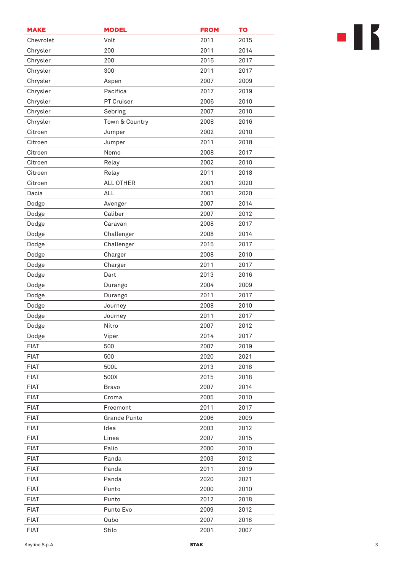| <b>MAKE</b> | <b>MODEL</b>        | <b>FROM</b> | TO   |
|-------------|---------------------|-------------|------|
| Chevrolet   | Volt                | 2011        | 2015 |
| Chrysler    | 200                 | 2011        | 2014 |
| Chrysler    | 200                 | 2015        | 2017 |
| Chrysler    | 300                 | 2011        | 2017 |
| Chrysler    | Aspen               | 2007        | 2009 |
| Chrysler    | Pacifica            | 2017        | 2019 |
| Chrysler    | PT Cruiser          | 2006        | 2010 |
| Chrysler    | Sebring             | 2007        | 2010 |
| Chrysler    | Town & Country      | 2008        | 2016 |
| Citroen     | Jumper              | 2002        | 2010 |
| Citroen     | Jumper              | 2011        | 2018 |
| Citroen     | Nemo                | 2008        | 2017 |
| Citroen     | Relay               | 2002        | 2010 |
| Citroen     | Relay               | 2011        | 2018 |
| Citroen     | ALL OTHER           | 2001        | 2020 |
| Dacia       | ALL                 | 2001        | 2020 |
| Dodge       | Avenger             | 2007        | 2014 |
| Dodge       | Caliber             | 2007        | 2012 |
| Dodge       | Caravan             | 2008        | 2017 |
| Dodge       | Challenger          | 2008        | 2014 |
| Dodge       | Challenger          | 2015        | 2017 |
| Dodge       | Charger             | 2008        | 2010 |
| Dodge       | Charger             | 2011        | 2017 |
| Dodge       | Dart                | 2013        | 2016 |
| Dodge       | Durango             | 2004        | 2009 |
| Dodge       | Durango             | 2011        | 2017 |
| Dodge       | Journey             | 2008        | 2010 |
| Dodge       | Journey             | 2011        | 2017 |
| Dodge       | Nitro               | 2007        | 2012 |
| Dodge       | Viper               | 2014        | 2017 |
| <b>FIAT</b> | 500                 | 2007        | 2019 |
| <b>FIAT</b> | 500                 | 2020        | 2021 |
| <b>FIAT</b> | 500L                | 2013        | 2018 |
| <b>FIAT</b> | 500X                | 2015        | 2018 |
| <b>FIAT</b> | <b>Bravo</b>        | 2007        | 2014 |
| <b>FIAT</b> | Croma               | 2005        | 2010 |
| <b>FIAT</b> | Freemont            | 2011        | 2017 |
| <b>FIAT</b> | <b>Grande Punto</b> | 2006        | 2009 |
| <b>FIAT</b> | Idea                | 2003        | 2012 |
| <b>FIAT</b> | Linea               | 2007        | 2015 |
| <b>FIAT</b> | Palio               | 2000        | 2010 |
| <b>FIAT</b> | Panda               | 2003        | 2012 |
| <b>FIAT</b> | Panda               | 2011        | 2019 |
| <b>FIAT</b> | Panda               | 2020        | 2021 |
| <b>FIAT</b> | Punto               | 2000        | 2010 |
| <b>FIAT</b> | Punto               | 2012        | 2018 |
| <b>FIAT</b> | Punto Evo           | 2009        | 2012 |
| <b>FIAT</b> | Qubo                | 2007        | 2018 |
| <b>FIAT</b> | Stilo               | 2001        | 2007 |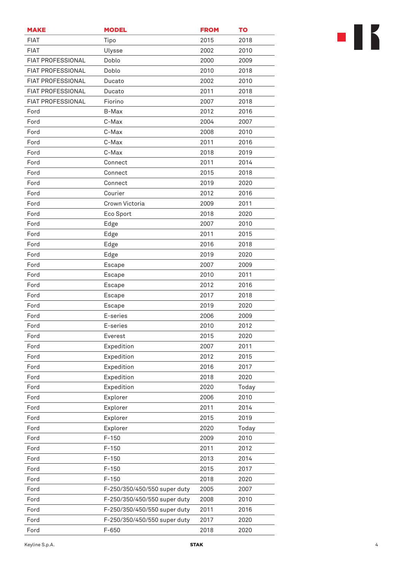| <b>MAKE</b>              | <b>MODEL</b>                 | <b>FROM</b> | TO           |
|--------------------------|------------------------------|-------------|--------------|
| <b>FIAT</b>              | Tipo                         | 2015        | 2018         |
| <b>FIAT</b>              | Ulysse                       | 2002        | 2010         |
| <b>FIAT PROFESSIONAL</b> | Doblo                        | 2000        | 2009         |
| <b>FIAT PROFESSIONAL</b> | Doblo                        | 2010        | 2018         |
| <b>FIAT PROFESSIONAL</b> | Ducato                       | 2002        | 2010         |
| FIAT PROFESSIONAL        | Ducato                       | 2011        | 2018         |
| <b>FIAT PROFESSIONAL</b> | Fiorino                      | 2007        | 2018         |
| Ford                     | B-Max                        | 2012        | 2016         |
| Ford                     | C-Max                        | 2004        | 2007         |
| Ford                     | C-Max                        | 2008        | 2010         |
| Ford                     | C-Max                        | 2011        | 2016         |
| Ford                     | C-Max                        | 2018        | 2019         |
| Ford                     | Connect                      | 2011        | 2014         |
| Ford                     | Connect                      | 2015        | 2018         |
| Ford                     | Connect                      | 2019        | 2020         |
| Ford                     | Courier                      | 2012        | 2016         |
| Ford                     | Crown Victoria               | 2009        | 2011         |
| Ford                     | Eco Sport                    | 2018        | 2020         |
| Ford                     | Edge                         | 2007        | 2010         |
| Ford                     | Edge                         | 2011        | 2015         |
| Ford                     | Edge                         | 2016        | 2018         |
| Ford                     | Edge                         | 2019        | 2020         |
| Ford                     | Escape                       | 2007        | 2009         |
| Ford                     | Escape                       | 2010        | 2011         |
| Ford                     |                              | 2012        |              |
| Ford                     | Escape                       | 2017        | 2016<br>2018 |
|                          | Escape                       |             |              |
| Ford                     | Escape                       | 2019        | 2020         |
| Ford                     | E-series                     | 2006        | 2009         |
| Ford                     | E-series                     | 2010        | 2012         |
| Ford                     | Everest                      | 2015        | 2020         |
| Ford                     | Expedition                   | 2007        | 2011         |
| Ford                     | Expedition                   | 2012        | 2015         |
| Ford                     | Expedition                   | 2016        | 2017         |
| Ford                     | Expedition                   | 2018        | 2020         |
| Ford                     | Expedition                   | 2020        | Today        |
| Ford                     | Explorer                     | 2006        | 2010         |
| Ford                     | Explorer                     | 2011        | 2014         |
| Ford                     | Explorer                     | 2015        | 2019         |
| Ford                     | Explorer                     | 2020        | Today        |
| Ford                     | $F-150$                      | 2009        | 2010         |
| Ford                     | $F-150$                      | 2011        | 2012         |
| Ford                     | $F-150$                      | 2013        | 2014         |
| Ford                     | $F-150$                      | 2015        | 2017         |
| Ford                     | $F-150$                      | 2018        | 2020         |
| Ford                     | F-250/350/450/550 super duty | 2005        | 2007         |
| Ford                     | F-250/350/450/550 super duty | 2008        | 2010         |
| Ford                     | F-250/350/450/550 super duty | 2011        | 2016         |
| Ford                     | F-250/350/450/550 super duty | 2017        | 2020         |
| Ford                     | $F-650$                      | 2018        | 2020         |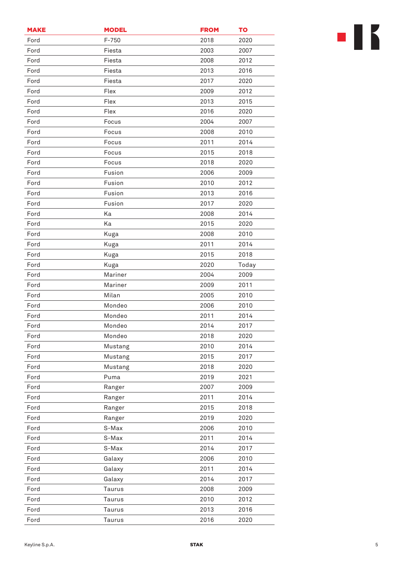| <b>MAKE</b> | <b>MODEL</b> | <b>FROM</b> | <b>TO</b> |
|-------------|--------------|-------------|-----------|
| Ford        | $F-750$      | 2018        | 2020      |
| Ford        | Fiesta       | 2003        | 2007      |
| Ford        | Fiesta       | 2008        | 2012      |
| Ford        | Fiesta       | 2013        | 2016      |
| Ford        | Fiesta       | 2017        | 2020      |
| Ford        | Flex         | 2009        | 2012      |
| Ford        | Flex         | 2013        | 2015      |
| Ford        | Flex         | 2016        | 2020      |
| Ford        | Focus        | 2004        | 2007      |
| Ford        | Focus        | 2008        | 2010      |
| Ford        | Focus        | 2011        | 2014      |
| Ford        | Focus        | 2015        | 2018      |
| Ford        | Focus        | 2018        | 2020      |
| Ford        | Fusion       | 2006        | 2009      |
| Ford        | Fusion       | 2010        | 2012      |
| Ford        | Fusion       | 2013        | 2016      |
| Ford        | Fusion       | 2017        | 2020      |
| Ford        | Ka           | 2008        | 2014      |
| Ford        | Ka           | 2015        | 2020      |
| Ford        | Kuga         | 2008        | 2010      |
| Ford        | Kuga         | 2011        | 2014      |
| Ford        | Kuga         | 2015        | 2018      |
| Ford        | Kuga         | 2020        | Today     |
| Ford        | Mariner      | 2004        | 2009      |
| Ford        | Mariner      | 2009        | 2011      |
| Ford        | Milan        | 2005        | 2010      |
| Ford        | Mondeo       | 2006        | 2010      |
| Ford        | Mondeo       | 2011        | 2014      |
| Ford        | Mondeo       | 2014        | 2017      |
| Ford        | Mondeo       | 2018        | 2020      |
| Ford        | Mustang      | 2010        | 2014      |
| Ford        | Mustang      | 2015        | 2017      |
| Ford        | Mustang      | 2018        | 2020      |
| Ford        | Puma         | 2019        | 2021      |
| Ford        | Ranger       | 2007        | 2009      |
| Ford        | Ranger       | 2011        | 2014      |
| Ford        | Ranger       | 2015        | 2018      |
| Ford        | Ranger       | 2019        | 2020      |
| Ford        | S-Max        | 2006        | 2010      |
| Ford        | S-Max        | 2011        | 2014      |
| Ford        | S-Max        | 2014        | 2017      |
| Ford        | Galaxy       | 2006        | 2010      |
| Ford        | Galaxy       | 2011        | 2014      |
| Ford        | Galaxy       | 2014        | 2017      |
| Ford        | Taurus       | 2008        | 2009      |
| Ford        | Taurus       | 2010        | 2012      |
| Ford        | Taurus       | 2013        | 2016      |
| Ford        | Taurus       | 2016        | 2020      |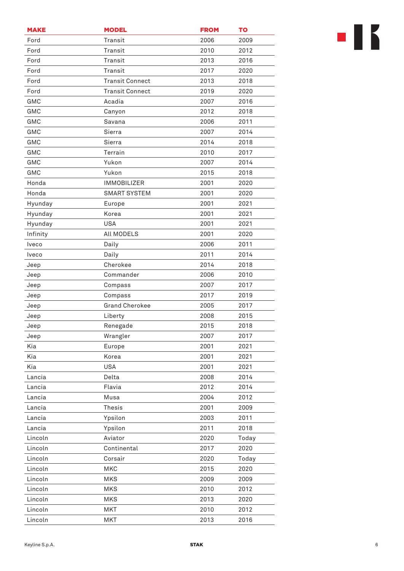| <b>MAKE</b> | <b>MODEL</b>           | <b>FROM</b> | TO    |
|-------------|------------------------|-------------|-------|
| Ford        | Transit                | 2006        | 2009  |
| Ford        | Transit                | 2010        | 2012  |
| Ford        | Transit                | 2013        | 2016  |
| Ford        | Transit                | 2017        | 2020  |
| Ford        | <b>Transit Connect</b> | 2013        | 2018  |
| Ford        | <b>Transit Connect</b> | 2019        | 2020  |
| GMC         | Acadia                 | 2007        | 2016  |
| <b>GMC</b>  | Canyon                 | 2012        | 2018  |
| GMC         | Savana                 | 2006        | 2011  |
| GMC         | Sierra                 | 2007        | 2014  |
| GMC         | Sierra                 | 2014        | 2018  |
| GMC         | Terrain                | 2010        | 2017  |
| GMC         | Yukon                  | 2007        | 2014  |
| GMC         | Yukon                  | 2015        | 2018  |
| Honda       | <b>IMMOBILIZER</b>     | 2001        | 2020  |
| Honda       | <b>SMART SYSTEM</b>    | 2001        | 2020  |
| Hyunday     | Europe                 | 2001        | 2021  |
| Hyunday     | Korea                  | 2001        | 2021  |
| Hyunday     | <b>USA</b>             | 2001        | 2021  |
| Infinity    | All MODELS             | 2001        | 2020  |
| Iveco       | Daily                  | 2006        | 2011  |
| Iveco       | Daily                  | 2011        | 2014  |
| Jeep        | Cherokee               | 2014        | 2018  |
| Jeep        | Commander              | 2006        | 2010  |
| Jeep        | Compass                | 2007        | 2017  |
| Jeep        | Compass                | 2017        | 2019  |
| Jeep        | <b>Grand Cherokee</b>  | 2005        | 2017  |
| Jeep        | Liberty                | 2008        | 2015  |
| Jeep        | Renegade               | 2015        | 2018  |
| Jeep        | Wrangler               | 2007        | 2017  |
| Kia         | Europe                 | 2001        | 2021  |
| Kia         | Korea                  | 2001        | 2021  |
| Kia         | <b>USA</b>             | 2001        | 2021  |
| Lancia      | Delta                  | 2008        | 2014  |
| Lancia      | Flavia                 | 2012        | 2014  |
| Lancia      | Musa                   | 2004        | 2012  |
| Lancia      | <b>Thesis</b>          | 2001        | 2009  |
| Lancia      | Ypsilon                | 2003        | 2011  |
| Lancia      | Ypsilon                | 2011        | 2018  |
| Lincoln     | Aviator                | 2020        | Today |
| Lincoln     | Continental            | 2017        | 2020  |
| Lincoln     | Corsair                | 2020        | Today |
| Lincoln     | MKC                    | 2015        | 2020  |
| Lincoln     | <b>MKS</b>             | 2009        | 2009  |
| Lincoln     | <b>MKS</b>             | 2010        | 2012  |
| Lincoln     | <b>MKS</b>             | 2013        | 2020  |
| Lincoln     | <b>MKT</b>             | 2010        | 2012  |
| Lincoln     | <b>MKT</b>             | 2013        | 2016  |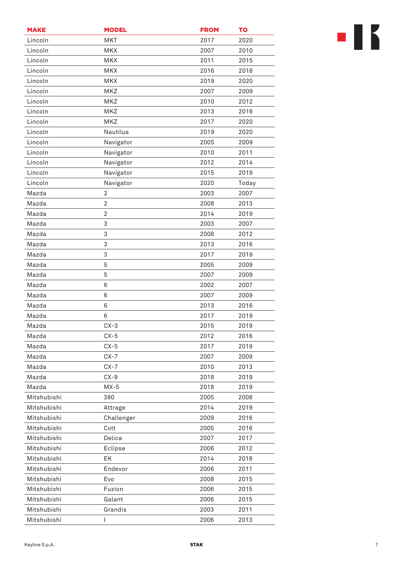| <b>MAKE</b> | <b>MODEL</b>   | <b>FROM</b> | <b>TO</b> |
|-------------|----------------|-------------|-----------|
| Lincoln     | <b>MKT</b>     | 2017        | 2020      |
| Lincoln     | <b>MKX</b>     | 2007        | 2010      |
| Lincoln     | <b>MKX</b>     | 2011        | 2015      |
| Lincoln     | <b>MKX</b>     | 2016        | 2018      |
| Lincoln     | <b>MKX</b>     | 2019        | 2020      |
| Lincoln     | MKZ            | 2007        | 2009      |
| Lincoln     | MKZ            | 2010        | 2012      |
| Lincoln     | <b>MKZ</b>     | 2013        | 2016      |
| Lincoln     | MKZ            | 2017        | 2020      |
| Lincoln     | Nautilus       | 2019        | 2020      |
| Lincoln     | Navigator      | 2005        | 2009      |
| Lincoln     | Navigator      | 2010        | 2011      |
| Lincoln     | Navigator      | 2012        | 2014      |
| Lincoln     | Navigator      | 2015        | 2019      |
| Lincoln     | Navigator      | 2020        | Today     |
| Mazda       | 2              | 2003        | 2007      |
| Mazda       | $\overline{2}$ | 2008        | 2013      |
| Mazda       | $\overline{2}$ | 2014        | 2019      |
| Mazda       | 3              | 2003        | 2007      |
| Mazda       | 3              | 2008        | 2012      |
| Mazda       | 3              | 2013        | 2016      |
| Mazda       | 3              | 2017        | 2019      |
| Mazda       | 5              | 2005        | 2009      |
| Mazda       | 5              | 2007        | 2009      |
| Mazda       | 6              | 2002        | 2007      |
| Mazda       | 6              | 2007        | 2009      |
| Mazda       | 6              | 2013        | 2016      |
| Mazda       | 6              | 2017        | 2019      |
| Mazda       | $CX-3$         | 2015        | 2019      |
| Mazda       | $CX-5$         | 2012        | 2016      |
| Mazda       | $CX-5$         | 2017        | 2019      |
| Mazda       | $CX-7$         | 2007        | 2009      |
| Mazda       | $CX-7$         | 2010        | 2013      |
| Mazda       | $CX-9$         | 2018        | 2019      |
| Mazda       | $MX-5$         | 2018        | 2019      |
| Mitshubishi | 380            | 2005        | 2008      |
| Mitshubishi | Attrage        | 2014        | 2019      |
| Mitshubishi | Challenger     | 2009        | 2016      |
| Mitshubishi | Colt           | 2005        | 2016      |
| Mitshubishi | Delica         | 2007        | 2017      |
| Mitshubishi | Eclipse        | 2006        | 2012      |
| Mitshubishi | EK             | 2014        | 2018      |
| Mitshubishi | Endevor        | 2006        | 2011      |
| Mitshubishi | Evo            | 2008        | 2015      |
| Mitshubishi | Fuzion         | 2006        | 2015      |
| Mitshubishi | Galant         | 2006        | 2015      |
| Mitshubishi | Grandis        | 2003        | 2011      |
| Mitshubishi | L              | 2006        | 2013      |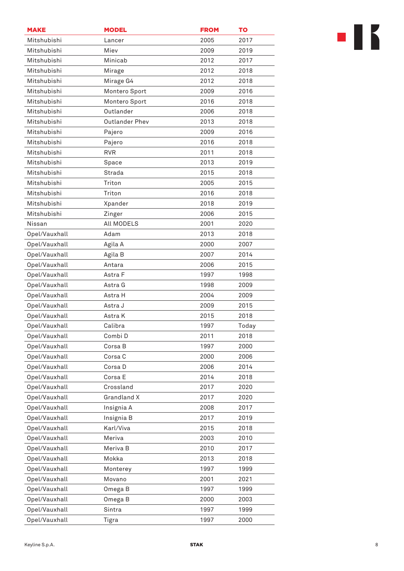| <b>MAKE</b>   | <b>MODEL</b>          | <b>FROM</b> | TO    |
|---------------|-----------------------|-------------|-------|
| Mitshubishi   | Lancer                | 2005        | 2017  |
| Mitshubishi   | Miev                  | 2009        | 2019  |
| Mitshubishi   | Minicab               | 2012        | 2017  |
| Mitshubishi   | Mirage                | 2012        | 2018  |
| Mitshubishi   | Mirage G4             | 2012        | 2018  |
| Mitshubishi   | Montero Sport         | 2009        | 2016  |
| Mitshubishi   | Montero Sport         | 2016        | 2018  |
| Mitshubishi   | Outlander             | 2006        | 2018  |
| Mitshubishi   | <b>Outlander Phev</b> | 2013        | 2018  |
| Mitshubishi   | Pajero                | 2009        | 2016  |
| Mitshubishi   | Pajero                | 2016        | 2018  |
| Mitshubishi   | <b>RVR</b>            | 2011        | 2018  |
| Mitshubishi   | Space                 | 2013        | 2019  |
| Mitshubishi   | Strada                | 2015        | 2018  |
| Mitshubishi   | Triton                | 2005        | 2015  |
| Mitshubishi   | Triton                | 2016        | 2018  |
| Mitshubishi   | Xpander               | 2018        | 2019  |
| Mitshubishi   | Zinger                | 2006        | 2015  |
| Nissan        | All MODELS            | 2001        | 2020  |
| Opel/Vauxhall | Adam                  | 2013        | 2018  |
| Opel/Vauxhall | Agila A               | 2000        | 2007  |
| Opel/Vauxhall | Agila B               | 2007        | 2014  |
| Opel/Vauxhall | Antara                | 2006        | 2015  |
| Opel/Vauxhall | Astra F               | 1997        | 1998  |
| Opel/Vauxhall | Astra G               | 1998        | 2009  |
| Opel/Vauxhall | Astra H               | 2004        | 2009  |
| Opel/Vauxhall | Astra J               | 2009        | 2015  |
| Opel/Vauxhall | Astra K               | 2015        | 2018  |
| Opel/Vauxhall | Calibra               | 1997        | Today |
| Opel/Vauxhall | Combi D               | 2011        | 2018  |
| Opel/Vauxhall | Corsa B               | 1997        | 2000  |
| Opel/Vauxhall | Corsa C               | 2000        | 2006  |
| Opel/Vauxhall | Corsa D               | 2006        | 2014  |
| Opel/Vauxhall | Corsa E               | 2014        | 2018  |
| Opel/Vauxhall | Crossland             | 2017        | 2020  |
| Opel/Vauxhall | Grandland X           | 2017        | 2020  |
| Opel/Vauxhall | Insignia A            | 2008        | 2017  |
| Opel/Vauxhall | Insignia B            | 2017        | 2019  |
| Opel/Vauxhall | Karl/Viva             | 2015        | 2018  |
| Opel/Vauxhall | Meriva                | 2003        | 2010  |
| Opel/Vauxhall | Meriva B              | 2010        | 2017  |
| Opel/Vauxhall | Mokka                 | 2013        | 2018  |
| Opel/Vauxhall | Monterey              | 1997        | 1999  |
| Opel/Vauxhall | Movano                | 2001        | 2021  |
| Opel/Vauxhall | Omega B               | 1997        | 1999  |
| Opel/Vauxhall | Omega B               | 2000        | 2003  |
| Opel/Vauxhall | Sintra                | 1997        | 1999  |
| Opel/Vauxhall | Tigra                 | 1997        | 2000  |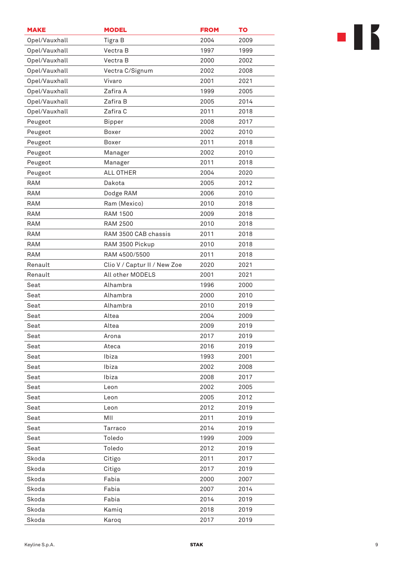| <b>MAKE</b>   | <b>MODEL</b>                 | <b>FROM</b> | TO   |
|---------------|------------------------------|-------------|------|
| Opel/Vauxhall | Tigra B                      | 2004        | 2009 |
| Opel/Vauxhall | Vectra B                     | 1997        | 1999 |
| Opel/Vauxhall | Vectra B                     | 2000        | 2002 |
| Opel/Vauxhall | Vectra C/Signum              | 2002        | 2008 |
| Opel/Vauxhall | Vivaro                       | 2001        | 2021 |
| Opel/Vauxhall | Zafira A                     | 1999        | 2005 |
| Opel/Vauxhall | Zafira B                     | 2005        | 2014 |
| Opel/Vauxhall | Zafira C                     | 2011        | 2018 |
| Peugeot       | <b>Bipper</b>                | 2008        | 2017 |
| Peugeot       | Boxer                        | 2002        | 2010 |
| Peugeot       | Boxer                        | 2011        | 2018 |
| Peugeot       | Manager                      | 2002        | 2010 |
| Peugeot       | Manager                      | 2011        | 2018 |
| Peugeot       | ALL OTHER                    | 2004        | 2020 |
| <b>RAM</b>    | Dakota                       | 2005        | 2012 |
| RAM           | Dodge RAM                    | 2006        | 2010 |
| RAM           | Ram (Mexico)                 | 2010        | 2018 |
| <b>RAM</b>    | <b>RAM 1500</b>              | 2009        | 2018 |
| RAM           | <b>RAM 2500</b>              | 2010        | 2018 |
| <b>RAM</b>    | RAM 3500 CAB chassis         | 2011        | 2018 |
| RAM           | RAM 3500 Pickup              | 2010        | 2018 |
| <b>RAM</b>    | RAM 4500/5500                | 2011        | 2018 |
| Renault       | Clio V / Captur II / New Zoe | 2020        | 2021 |
| Renault       | All other MODELS             | 2001        | 2021 |
| Seat          | Alhambra                     | 1996        | 2000 |
| Seat          | Alhambra                     | 2000        | 2010 |
| Seat          | Alhambra                     | 2010        | 2019 |
| Seat          | Altea                        | 2004        | 2009 |
| Seat          | Altea                        | 2009        | 2019 |
| Seat          | Arona                        | 2017        | 2019 |
| Seat          | Ateca                        | 2016        | 2019 |
| Seat          | Ibiza                        | 1993        | 2001 |
| Seat          | Ibiza                        | 2002        | 2008 |
| Seat          | Ibiza                        | 2008        | 2017 |
| Seat          | Leon                         | 2002        | 2005 |
| Seat          | Leon                         | 2005        | 2012 |
| Seat          | Leon                         | 2012        | 2019 |
| Seat          | MII                          | 2011        | 2019 |
| Seat          | Tarraco                      | 2014        | 2019 |
| Seat          | Toledo                       | 1999        | 2009 |
| Seat          | Toledo                       | 2012        | 2019 |
| Skoda         | Citigo                       | 2011        | 2017 |
| Skoda         | Citigo                       | 2017        | 2019 |
| Skoda         | Fabia                        | 2000        | 2007 |
| Skoda         | Fabia                        | 2007        | 2014 |
| Skoda         | Fabia                        | 2014        | 2019 |
| Skoda         | Kamiq                        | 2018        | 2019 |
| Skoda         | Karoq                        | 2017        | 2019 |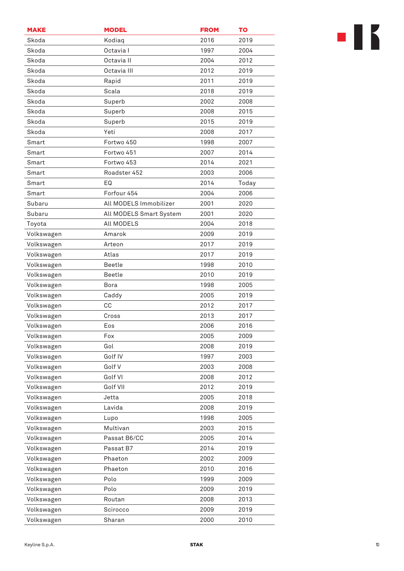| <b>MAKE</b> | <b>MODEL</b>            | <b>FROM</b> | <b>TO</b> |
|-------------|-------------------------|-------------|-----------|
| Skoda       | Kodiaq                  | 2016        | 2019      |
| Skoda       | Octavia I               | 1997        | 2004      |
| Skoda       | Octavia II              | 2004        | 2012      |
| Skoda       | Octavia III             | 2012        | 2019      |
| Skoda       | Rapid                   | 2011        | 2019      |
| Skoda       | Scala                   | 2018        | 2019      |
| Skoda       | Superb                  | 2002        | 2008      |
| Skoda       | Superb                  | 2008        | 2015      |
| Skoda       | Superb                  | 2015        | 2019      |
| Skoda       | Yeti                    | 2008        | 2017      |
| Smart       | Fortwo 450              | 1998        | 2007      |
| Smart       | Fortwo 451              | 2007        | 2014      |
| Smart       | Fortwo 453              | 2014        | 2021      |
| Smart       | Roadster 452            | 2003        | 2006      |
| Smart       | EQ                      | 2014        | Today     |
| Smart       | Forfour 454             | 2004        | 2006      |
| Subaru      | All MODELS Immobilizer  | 2001        | 2020      |
| Subaru      | All MODELS Smart System | 2001        | 2020      |
| Toyota      | All MODELS              | 2004        | 2018      |
| Volkswagen  | Amarok                  | 2009        | 2019      |
| Volkswagen  | Arteon                  | 2017        | 2019      |
| Volkswagen  | Atlas                   | 2017        | 2019      |
| Volkswagen  | <b>Beetle</b>           | 1998        | 2010      |
| Volkswagen  | <b>Beetle</b>           | 2010        | 2019      |
| Volkswagen  | Bora                    | 1998        | 2005      |
| Volkswagen  | Caddy                   | 2005        | 2019      |
| Volkswagen  | CC                      | 2012        | 2017      |
| Volkswagen  | Cross                   | 2013        | 2017      |
| Volkswagen  | Eos                     | 2006        | 2016      |
| Volkswagen  | Fox                     | 2005        | 2009      |
| Volkswagen  | Gol                     | 2008        | 2019      |
| Volkswagen  | Golf IV                 | 1997        | 2003      |
| Volkswagen  | Golf V                  | 2003        | 2008      |
| Volkswagen  | Golf VI                 | 2008        | 2012      |
| Volkswagen  | Golf VII                | 2012        | 2019      |
| Volkswagen  | Jetta                   | 2005        | 2018      |
| Volkswagen  | Lavida                  | 2008        | 2019      |
| Volkswagen  | Lupo                    | 1998        | 2005      |
| Volkswagen  | Multivan                | 2003        | 2015      |
| Volkswagen  | Passat B6/CC            | 2005        | 2014      |
| Volkswagen  | Passat B7               | 2014        | 2019      |
| Volkswagen  | Phaeton                 | 2002        | 2009      |
| Volkswagen  | Phaeton                 | 2010        | 2016      |
| Volkswagen  | Polo                    | 1999        | 2009      |
| Volkswagen  | Polo                    | 2009        | 2019      |
| Volkswagen  | Routan                  | 2008        | 2013      |
| Volkswagen  | Scirocco                | 2009        | 2019      |
| Volkswagen  | Sharan                  | 2000        | 2010      |